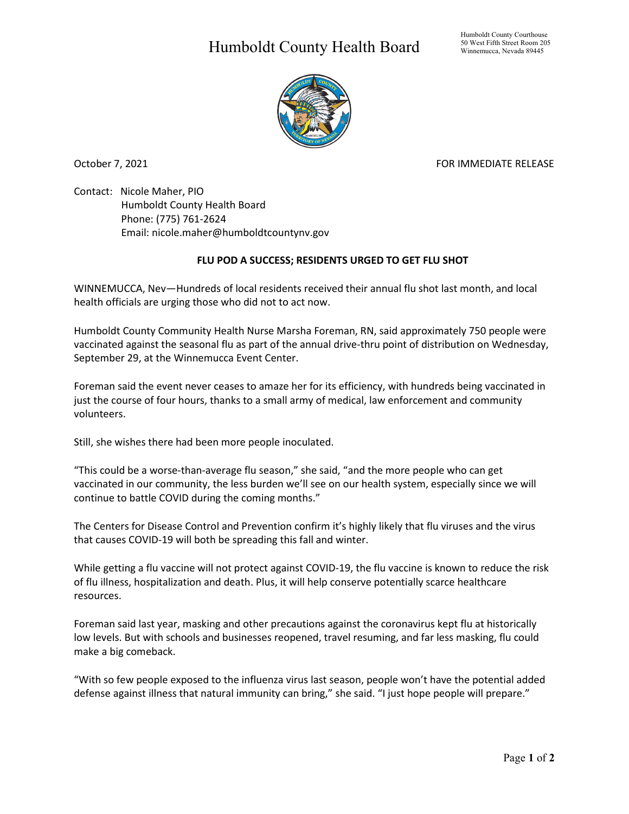## Humboldt County Health Board



October 7, 2021 **FOR IMMEDIATE RELEASE** 

Contact: Nicole Maher, PIO Humboldt County Health Board Phone: (775) 761-2624 Email: nicole.maher@humboldtcountynv.gov

## **FLU POD A SUCCESS; RESIDENTS URGED TO GET FLU SHOT**

WINNEMUCCA, Nev—Hundreds of local residents received their annual flu shot last month, and local health officials are urging those who did not to act now.

Humboldt County Community Health Nurse Marsha Foreman, RN, said approximately 750 people were vaccinated against the seasonal flu as part of the annual drive-thru point of distribution on Wednesday, September 29, at the Winnemucca Event Center.

Foreman said the event never ceases to amaze her for its efficiency, with hundreds being vaccinated in just the course of four hours, thanks to a small army of medical, law enforcement and community volunteers.

Still, she wishes there had been more people inoculated.

"This could be a worse-than-average flu season," she said, "and the more people who can get vaccinated in our community, the less burden we'll see on our health system, especially since we will continue to battle COVID during the coming months."

The Centers for Disease Control and Prevention confirm it's highly likely that flu viruses and the virus that causes COVID-19 will both be spreading this fall and winter.

While getting a flu vaccine will not protect against COVID-19, the flu vaccine is known to reduce the risk of flu illness, hospitalization and death. Plus, it will help conserve potentially scarce healthcare resources.

Foreman said last year, masking and other precautions against the coronavirus kept flu at historically low levels. But with schools and businesses reopened, travel resuming, and far less masking, flu could make a big comeback.

"With so few people exposed to the influenza virus last season, people won't have the potential added defense against illness that natural immunity can bring," she said. "I just hope people will prepare."